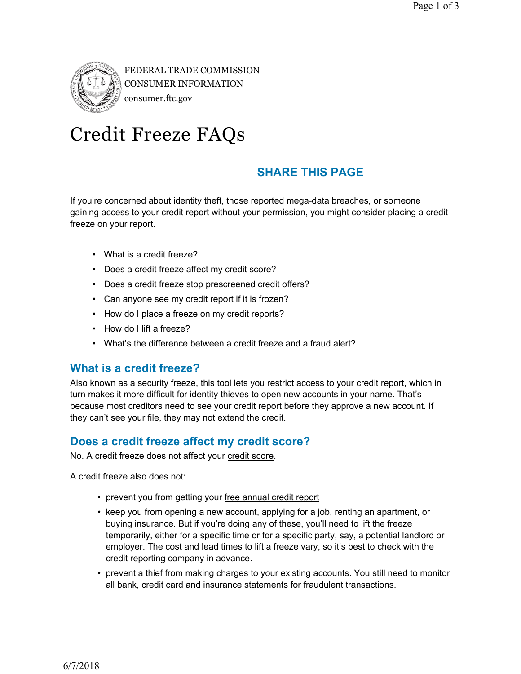

FEDERAL TRADE COMMISSION CONSUMER INFORMATION consumer.ftc.gov

# Credit Freeze FAQs

# **SHARE THIS PAGE**

If you're concerned about identity theft, those reported mega-data breaches, or someone gaining access to your credit report without your permission, you might consider placing a credit freeze on your report.

- What is a credit freeze?
- Does a credit freeze affect my credit score?
- Does a credit freeze stop prescreened credit offers?
- Can anyone see my credit report if it is frozen?
- How do I place a freeze on my credit reports?
- How do I lift a freeze?
- What's the difference between a credit freeze and a fraud alert?

#### **What is a credit freeze?**

Also known as a security freeze, this tool lets you restrict access to your credit report, which in turn makes it more difficult for identity thieves to open new accounts in your name. That's because most creditors need to see your credit report before they approve a new account. If they can't see your file, they may not extend the credit.

# **Does a credit freeze affect my credit score?**

No. A credit freeze does not affect your credit score.

A credit freeze also does not:

- prevent you from getting your free annual credit report
- keep you from opening a new account, applying for a job, renting an apartment, or buying insurance. But if you're doing any of these, you'll need to lift the freeze temporarily, either for a specific time or for a specific party, say, a potential landlord or employer. The cost and lead times to lift a freeze vary, so it's best to check with the credit reporting company in advance.
- prevent a thief from making charges to your existing accounts. You still need to monitor all bank, credit card and insurance statements for fraudulent transactions.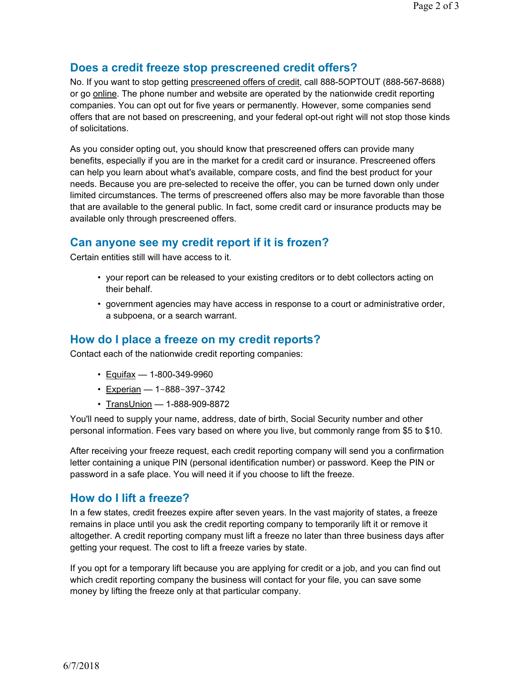#### **Does a credit freeze stop prescreened credit offers?**

No. If you want to stop getting prescreened offers of credit, call 888-5OPTOUT (888-567-8688) or go online. The phone number and website are operated by the nationwide credit reporting companies. You can opt out for five years or permanently. However, some companies send offers that are not based on prescreening, and your federal opt-out right will not stop those kinds of solicitations.

As you consider opting out, you should know that prescreened offers can provide many benefits, especially if you are in the market for a credit card or insurance. Prescreened offers can help you learn about what's available, compare costs, and find the best product for your needs. Because you are pre-selected to receive the offer, you can be turned down only under limited circumstances. The terms of prescreened offers also may be more favorable than those that are available to the general public. In fact, some credit card or insurance products may be available only through prescreened offers.

# **Can anyone see my credit report if it is frozen?**

Certain entities still will have access to it.

- your report can be released to your existing creditors or to debt collectors acting on their behalf.
- government agencies may have access in response to a court or administrative order, a subpoena, or a search warrant.

## **How do I place a freeze on my credit reports?**

Contact each of the nationwide credit reporting companies:

- Equifax 1-800-349-9960
- Experian 1-888-397-3742
- TransUnion 1-888-909-8872

You'll need to supply your name, address, date of birth, Social Security number and other personal information. Fees vary based on where you live, but commonly range from \$5 to \$10.

After receiving your freeze request, each credit reporting company will send you a confirmation letter containing a unique PIN (personal identification number) or password. Keep the PIN or password in a safe place. You will need it if you choose to lift the freeze.

#### **How do I lift a freeze?**

In a few states, credit freezes expire after seven years. In the vast majority of states, a freeze remains in place until you ask the credit reporting company to temporarily lift it or remove it altogether. A credit reporting company must lift a freeze no later than three business days after getting your request. The cost to lift a freeze varies by state.

If you opt for a temporary lift because you are applying for credit or a job, and you can find out which credit reporting company the business will contact for your file, you can save some money by lifting the freeze only at that particular company.